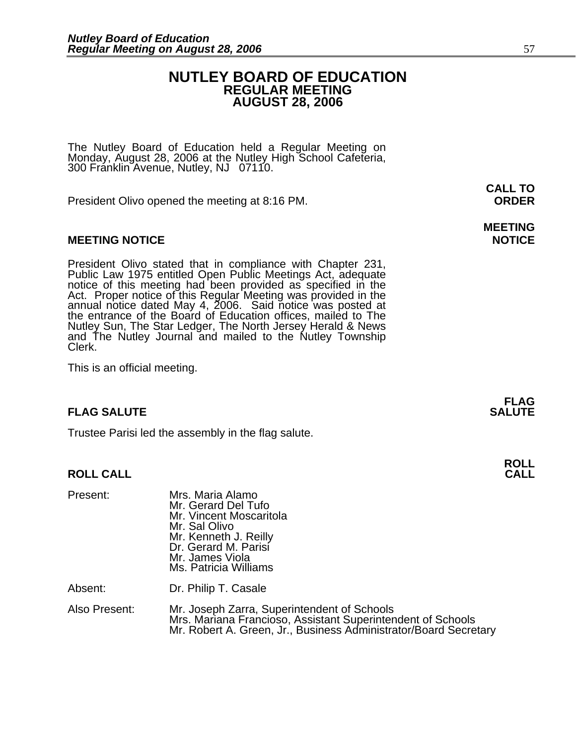#### **NUTLEY BOARD OF EDUCATION REGULAR MEETING AUGUST 28, 2006**

The Nutley Board of Education held a Regular Meeting on Monday, August 28, 2006 at the Nutley High School Cafeteria, 300 Franklin Avenue, Nutley, NJ 07110.

President Olivo opened the meeting at 8:16 PM. **ORDER**

#### **MEETING NOTICE NOTICE AND RESERVE ASSESS**

President Olivo stated that in compliance with Chapter 231,<br>Public Law 1975 entitled Open Public Meetings Act, adequate<br>notice of this meeting had been provided as specified in the<br>Act. Proper notice of this Regular Meetin annual notice dated May 4, 2006. Said notice was posted at<br>the entrance of the Board of Education offices, mailed to The Nutley Sun, The Star Ledger, The North Jersey Herald & News and The Nutley Journal and mailed to the Nutley Township Clerk.

This is an official meeting.

#### **FLAG SALUTE SALUTE SALUTE**

Trustee Parisi led the assembly in the flag salute.

#### **ROLL CALL**

| Present:      | Mrs. Maria Alamo<br>Mr. Gerard Del Tufo<br>Mr. Vincent Moscaritola<br>Mr. Sal Olivo<br>Mr. Kenneth J. Reilly<br>Dr. Gerard M. Parisi<br>Mr. James Viola<br>Ms. Patricia Williams |
|---------------|----------------------------------------------------------------------------------------------------------------------------------------------------------------------------------|
| Absent:       | Dr. Philip T. Casale                                                                                                                                                             |
| Also Present: | Mr. Joseph Zarra, Superintendent of Schools<br>Mrs. Mariana Francioso, Assistant Superintendent of Schools<br>Mr. Robert A. Green, Jr., Business Administrator/Board Secretary   |

**CALL TO** 

## **MEETING**

**FLAG** 

**ROLL**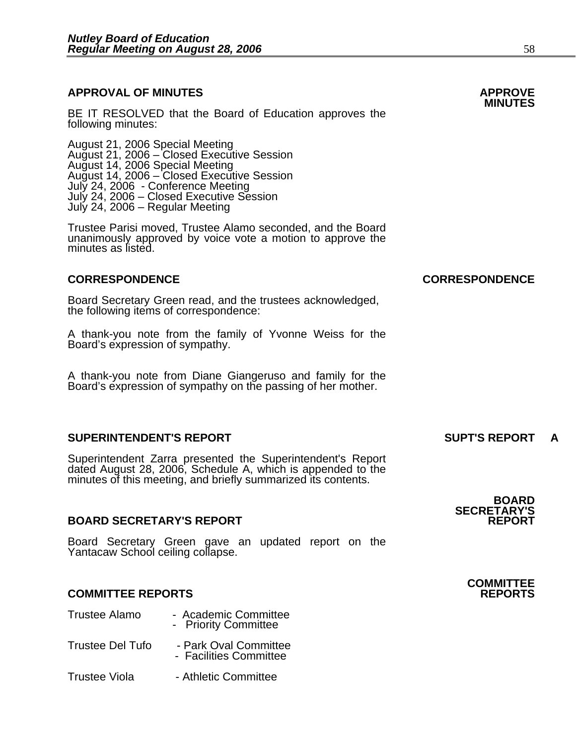### **APPROVAL OF MINUTES APPROVE**

BE IT RESOLVED that the Board of Education approves the following minutes:

 August 21, 2006 Special Meeting August 21, 2006 – Closed Executive Session August 14, 2006 Special Meeting August 14, 2006 – Closed Executive Session July 24, 2006 - Conference Meeting July 24, 2006 - Closed Executive Session July 24, 2006 – Regular Meeting

Trustee Parisi moved, Trustee Alamo seconded, and the Board unanimously approved by voice vote a motion to approve the minutes as listed.

#### **CORRESPONDENCE CORRESPONDENCE**

Board Secretary Green read, and the trustees acknowledged, the following items of correspondence:

A thank-you note from the family of Yvonne Weiss for the Board's expression of sympathy.

A thank-you note from Diane Giangeruso and family for the Board's expression of sympathy on the passing of her mother.

#### **SUPERINTENDENT'S REPORT SUPT'S REPORT A**

Superintendent Zarra presented the Superintendent's Report dated August 28, 2006, Schedule A, which is appended to the minutes of this meeting, and briefly summarized its contents.

#### **BOARD SECRETARY'S REPORT**

Board Secretary Green gave an updated report on the Yantacaw School ceiling collapse.

#### **COMMITTEE REPORTS REPORTS**

| Trustee Alamo           | - Academic Committee<br>- Priority Committee    |
|-------------------------|-------------------------------------------------|
| <b>Trustee Del Tufo</b> | - Park Oval Committee<br>- Facilities Committee |

Trustee Viola **- Athletic Committee** 

### **BOARD SECRETARY'S**

### **COMMITTEE**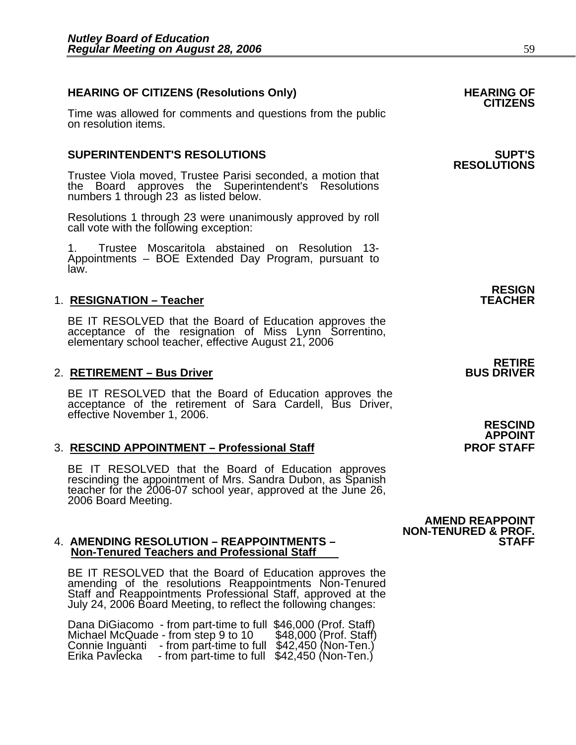٦

### **HEARING OF CITIZENS (Resolutions Only) HEARING OF CITIZENS**

Time was allowed for comments and questions from the public on resolution items.

#### **SUPERINTENDENT'S RESOLUTIONS SUPT'S**

Trustee Viola moved, Trustee Parisi seconded, a motion that the Board approves the Superintendent's Resolutions numbers 1 through 23 as listed below.

Resolutions 1 through 23 were unanimously approved by roll call vote with the following exception:

1. Trustee Moscaritola abstained on Resolution 13- Appointments – BOE Extended Day Program, pursuant to law.

#### 1. **RESIGNATION - Teacher**

BE IT RESOLVED that the Board of Education approves the acceptance of the resignation of Miss Lynn Sorrentino, elementary school teacher, effective August 21, 2006

#### 2. **RETIREMENT – Bus Driver**

BE IT RESOLVED that the Board of Education approves the acceptance of the retirement of Sara Cardell, Bus Driver, effective November 1, 2006.

#### 3. **RESCIND APPOINTMENT – Professional Staff PROF STAFF**

BE IT RESOLVED that the Board of Education approves rescinding the appointment of Mrs. Sandra Dubon, as Spanish teacher for the 2006-07 school year, approved at the June 26, 2006 Board Meeting.

#### **4. AMENDING RESOLUTION – REAPPOINTMENTS – Non-Tenured Teachers and Professional Staff**

BE IT RESOLVED that the Board of Education approves the amending of the resolutions Reappointments Non-Tenured Staff and Reappointments Professional Staff, approved at the July 24, 2006 Board Meeting, to reflect the follow

Dana DiGiacomo - from part-time to full \$46,000 (Prof. Staff)<br>Michael McQuade - from step 9 to 10 \$48,000 (Prof. Staff)<br>Connie Inguanti - from part-time to full \$42,450 (Non-Ten.)<br>Erika Pavlecka - from part-time to full \$4

# **RESOLUTIONS**

**RESIGN** 

## **RETIRE**<br>BUS DRIVER

**RESCIND APPOINT** 

**AMEND REAPPOINT NON-TENURED & PROF.**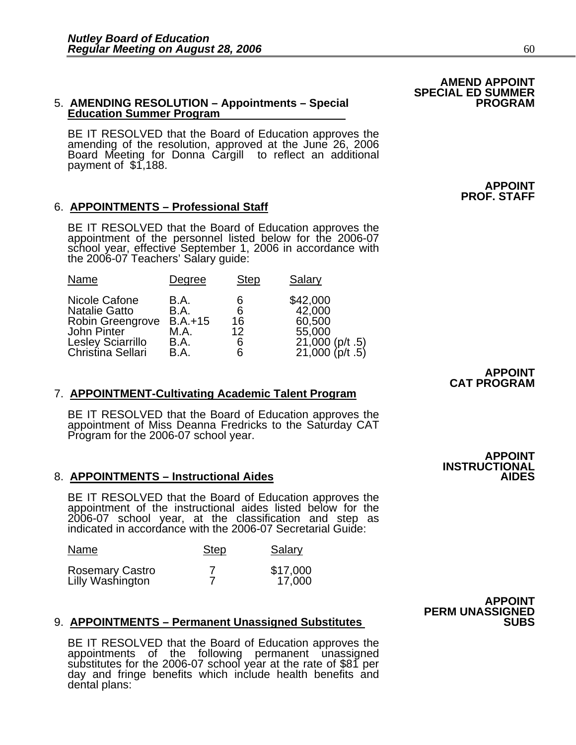## 5. **AMENDING RESOLUTION – Appointments – Special Education Summer Program**

BE IT RESOLVED that the Board of Education approves the amending of the resolution, approved at the June 26, 2006 Board Meeting for Donna Cargill to reflect an additional payment of \$1,188.

#### 6. **APPOINTMENTS – Professional Staff**

BE IT RESOLVED that the Board of Education approves the<br>appointment of the personnel listed below for the 2006-07<br>school year, effective September 1, 2006 in accordance with the 2006-07 Teachers' Salary guide:

| Name                                                                                                                             | Degree                                            | <b>Step</b>                  | Salary                                                                       |
|----------------------------------------------------------------------------------------------------------------------------------|---------------------------------------------------|------------------------------|------------------------------------------------------------------------------|
| Nicole Cafone<br><b>Natalie Gatto</b><br>Robin Greengrove<br><b>John Pinter</b><br><b>Lesley Sciarrillo</b><br>Christina Sellari | B.A.<br>B.A.<br>$B.A.+15$<br>M.A.<br>B.A.<br>B.A. | 6<br>6<br>16<br>12<br>6<br>6 | \$42,000<br>42,000<br>60,500<br>55,000<br>21,000 (p/t .5)<br>21,000 (p/t .5) |

#### 7. **APPOINTMENT-Cultivating Academic Talent Program**

BE IT RESOLVED that the Board of Education approves the appointment of Miss Deanna Fredricks to the Saturday CAT Program for the 2006-07 school year.

#### 8. **APPOINTMENTS – Instructional Aides**

BE IT RESOLVED that the Board of Education approves the appointment of the instructional aides listed below for the 2006-07 school year, at the classification and step as indicated in accordance with the 2006-07 Secretarial Guide:

| Name                                | <b>Step</b> | Salary             |
|-------------------------------------|-------------|--------------------|
| Rosemary Castro<br>Lilly Washington |             | \$17,000<br>17,000 |

#### 9. APPOINTMENTS – Permanent Unassigned Substitutes

BE IT RESOLVED that the Board of Education approves the appointments of the following permanent unassigned substitutes for the 2006-07 school year at the rate of \$81 per day and fringe benefits which include health benefits and dental plans:

**APPOINT PERM UNASSIGNED** 

#### **APPOINT CAT PROGRAM**

**INSTRUCTIONAL** 

**APPOINT** 

### **AMEND APPOINT SPECIAL ED SUMMER**

**APPOINT PROF. STAFF**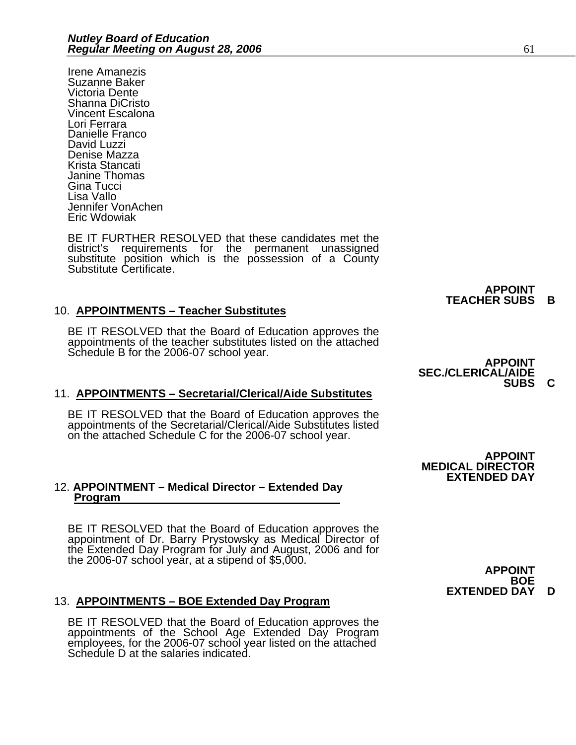Irene Amanezis Suzanne Baker Victoria Dente Shanna DiCristo Vincent Escalona Lori Ferrara Danielle Franco David Luzzi Denise Mazza Krista Stancati Janine Thomas Gina Tucci Lisa Vallo Jennifer VonAchen Eric Wdowiak

BE IT FURTHER RESOLVED that these candidates met the district's requirements for the permanent unassigned substitute position which is the possession of a County Substitute Certificate.

#### 10. **APPOINTMENTS – Teacher Substitutes**

BE IT RESOLVED that the Board of Education approves the appointments of the teacher substitutes listed on the attached Schedule B for the 2006-07 school year.<br>**APPOINT** 

#### 11. **APPOINTMENTS – Secretarial/Clerical/Aide Substitutes**

BE IT RESOLVED that the Board of Education approves the appointments of the Secretarial/Clerical/Aide Substitutes listed on the attached Schedule C for the 2006-07 school year.

#### 12. **APPOINTMENT – Medical Director – Extended Day Program**

BE IT RESOLVED that the Board of Education approves the appointment of Dr. Barry Prystowsky as Medical Director of the Extended Day Program for July and August, 2006 and for the 2006-07 school year, at a stipend of \$5,000.

#### 13. **APPOINTMENTS – BOE Extended Day Program**

BE IT RESOLVED that the Board of Education approves the appointments of the School Age Extended Day Program employees, for the 2006-07 school year listed on the attached Schedule D at the salaries indicated.

**APPOINT TEACHER SUBS B** 

### **SEC./CLERICAL/AIDE SUBS C**

**APPOINT MEDICAL DIRECTOR EXTENDED DAY** 

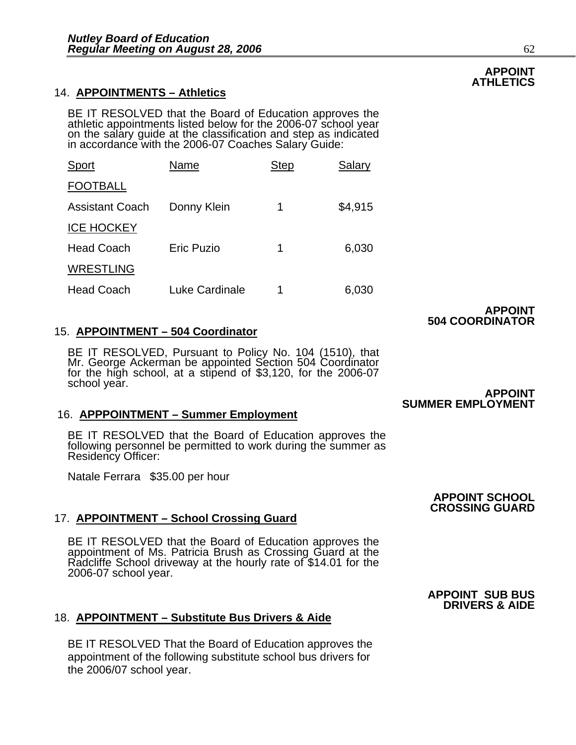#### 14. **APPOINTMENTS – Athletics**

BE IT RESOLVED that the Board of Education approves the athletic appointments listed below for the 2006-07 school year on the salary guide at the classification and step as indicated in accordance with the 2006-07 Coaches

| <b>Sport</b>           | Name              | <b>Step</b> | Salary  |
|------------------------|-------------------|-------------|---------|
| <b>FOOTBALL</b>        |                   |             |         |
| <b>Assistant Coach</b> | Donny Klein       | 1           | \$4,915 |
| <b>ICE HOCKEY</b>      |                   |             |         |
| <b>Head Coach</b>      | <b>Eric Puzio</b> | 1           | 6,030   |
| <b>WRESTLING</b>       |                   |             |         |
| <b>Head Coach</b>      | Luke Cardinale    | 1           | 6,030   |

#### 15. **APPOINTMENT – 504 Coordinator**

BE IT RESOLVED, Pursuant to Policy No. 104 (1510), that Mr. George Ackerman be appointed Section 504 Coordinator for the high school, at a stipend of \$3,120, for the 2006-07 school year. **APPOINT** 

#### 16. **APPPOINTMENT – Summer Employment**

BE IT RESOLVED that the Board of Education approves the following personnel be permitted to work during the summer as Residency Officer:

Natale Ferrara \$35.00 per hour

#### 17. **APPOINTMENT – School Crossing Guard**

BE IT RESOLVED that the Board of Education approves the appointment of Ms. Patricia Brush as Crossing Guard at the Radcliffe School driveway at the hourly rate of \$14.01 for the 2006-07 school year.

#### 18. **APPOINTMENT – Substitute Bus Drivers & Aide**

BE IT RESOLVED That the Board of Education approves the appointment of the following substitute school bus drivers for the 2006/07 school year.

### **APPOINT 504 COORDINATOR**

**SUMMER EMPLOYMENT**

# **CROSSING GUARD**

**APPOINT SCHOOL** 

#### **APPOINT SUB BUS DRIVERS & AIDE**

#### **APPOINT ATHLETICS**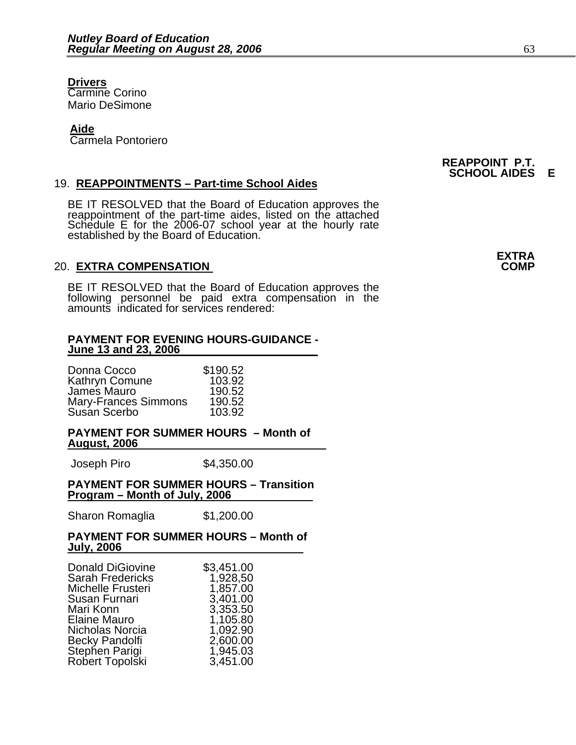#### **Drivers** Carmine Corino Mario DeSimone

#### **Aide**

Carmela Pontoriero

#### 19. **REAPPOINTMENTS – Part-time School Aides**

BE IT RESOLVED that the Board of Education approves the reappointment of the part-time aides, listed on the attached Schedule E for the 2006-07 school year at the hourly rate<br>established by the Board of Education.

#### **20. EXTRA COMPENSATION**

BE IT RESOLVED that the Board of Education approves the following personnel be paid extra compensation in the amounts indicated for services rendered:

#### **PAYMENT FOR EVENING HOURS-GUIDANCE - June 13 and 23, 2006**

| Donna Cocco                 | \$190.52 |
|-----------------------------|----------|
| Kathryn Comune              | 103.92   |
| James Mauro                 | 190.52   |
| <b>Mary-Frances Simmons</b> | 190.52   |
| Susan Scerbo                | 103.92   |

#### **PAYMENT FOR SUMMER HOURS – Month of August, 2006**

Joseph Piro \$4,350.00

#### **PAYMENT FOR SUMMER HOURS – Transition Program – Month of July, 2006**

Sharon Romaglia \$1,200.00

#### **PAYMENT FOR SUMMER HOURS – Month of July, 2006**

| <b>Donald DiGiovine</b> | \$3,451.00 |
|-------------------------|------------|
| <b>Sarah Fredericks</b> | 1,928,50   |
| Michelle Frusteri       | 1,857.00   |
| Susan Furnari           | 3,401.00   |
| Mari Konn               | 3,353.50   |
| Elaine Mauro            | 1,105.80   |
| Nicholas Norcia         | 1,092.90   |
| <b>Becky Pandolfi</b>   | 2,600.00   |
| Stephen Parigi          | 1,945.03   |
| Robert Topolski         | 3,451.00   |

#### **REAPPOINT P.T. SCHOOL AIDES E**

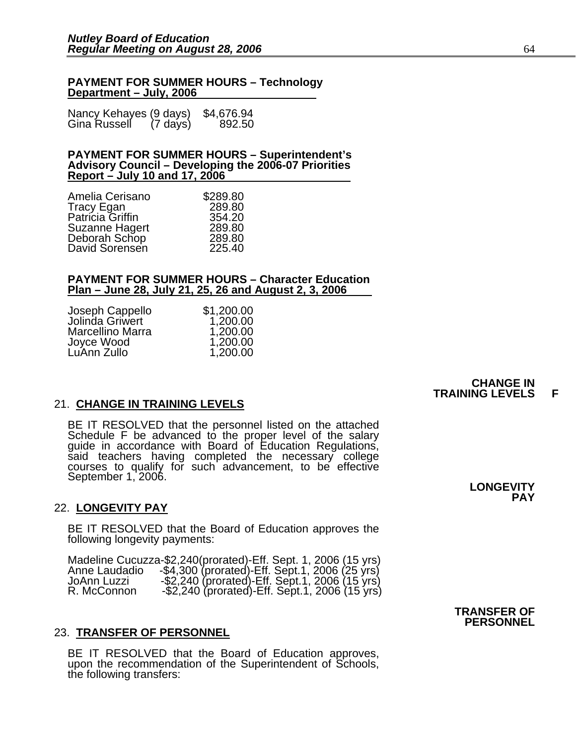#### **PAYMENT FOR SUMMER HOURS – Technology Department – July, 2006**

| Nancy Kehayes (9 days) |                    | \$4,676.94 |
|------------------------|--------------------|------------|
| Gina Russell           | $(7 \text{ days})$ | 892.50     |

#### **PAYMENT FOR SUMMER HOURS – Superintendent's Advisory Council – Developing the 2006-07 Priorities Report – July 10 and 17, 2006**

| \$289.80 |
|----------|
| 289.80   |
| 354.20   |
| 289.80   |
| 289.80   |
| 225.40   |
|          |

#### **PAYMENT FOR SUMMER HOURS – Character Education Plan – June 28, July 21, 25, 26 and August 2, 3, 2006**

| Joseph Cappello<br>Jolinda Griwert | \$1,200.00 |
|------------------------------------|------------|
|                                    | 1,200.00   |
| <b>Marcellino Marra</b>            | 1,200.00   |
| Joyce Wood                         | 1,200.00   |
| LuAnn Zullo                        | 1,200.00   |

#### 21. **CHANGE IN TRAINING LEVELS**

BE IT RESOLVED that the personnel listed on the attached Schedule F be advanced to the proper level of the salary guide in accordance with Board of Education Regulations, courses to qualify for such advancement, to be effective September 1, 2006.

#### 22. **LONGEVITY PAY**

BE IT RESOLVED that the Board of Education approves the following longevity payments:

Madeline Cucuzza-\$2,240(prorated)-Eff. Sept. 1, 2006 (15 yrs)<br>Anne Laudadio -\$4,300 (prorated)-Eff. Sept.1, 2006 (25 yrs)<br>JoAnn Luzzi -\$2,240 (prorated)-Eff. Sept.1, 2006 (15 yrs)<br>R. McConnon -\$2,240 (prorated)-Eff. Sept.1

#### 23. **TRANSFER OF PERSONNEL**

BE IT RESOLVED that the Board of Education approves, upon the recommendation of the Superintendent of Schools, the following transfers:

**LONGEVITY PAY**

**CHANGE IN TRAINING LEVELS F**

#### **TRANSFER OF PERSONNEL**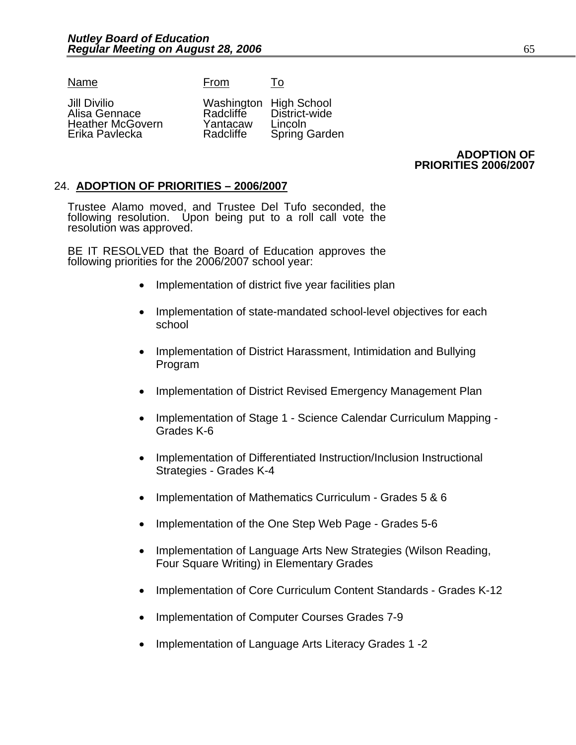Name From To

Alisa Gennace Radcliffe District-<br>Heather McGovern Yantacaw Lincoln Heather McGovern Yantacaw<br>Erika Pavlecka **Bandary** Radcliffe

Jill Divilio Washington High School Spring Garden

> **ADOPTION OF PRIORITIES 2006/2007**

#### 24. **ADOPTION OF PRIORITIES – 2006/2007**

Trustee Alamo moved, and Trustee Del Tufo seconded, the following resolution. Upon being put to a roll call vote the resolution was approved.

BE IT RESOLVED that the Board of Education approves the following priorities for the 2006/2007 school year:

- Implementation of district five year facilities plan
- Implementation of state-mandated school-level objectives for each school
- Implementation of District Harassment, Intimidation and Bullying Program
- Implementation of District Revised Emergency Management Plan
- Implementation of Stage 1 Science Calendar Curriculum Mapping Grades K-6
- Implementation of Differentiated Instruction/Inclusion Instructional Strategies - Grades K-4
- Implementation of Mathematics Curriculum Grades 5 & 6
- Implementation of the One Step Web Page Grades 5-6
- Implementation of Language Arts New Strategies (Wilson Reading, Four Square Writing) in Elementary Grades
- Implementation of Core Curriculum Content Standards Grades K-12
- Implementation of Computer Courses Grades 7-9
- Implementation of Language Arts Literacy Grades 1 -2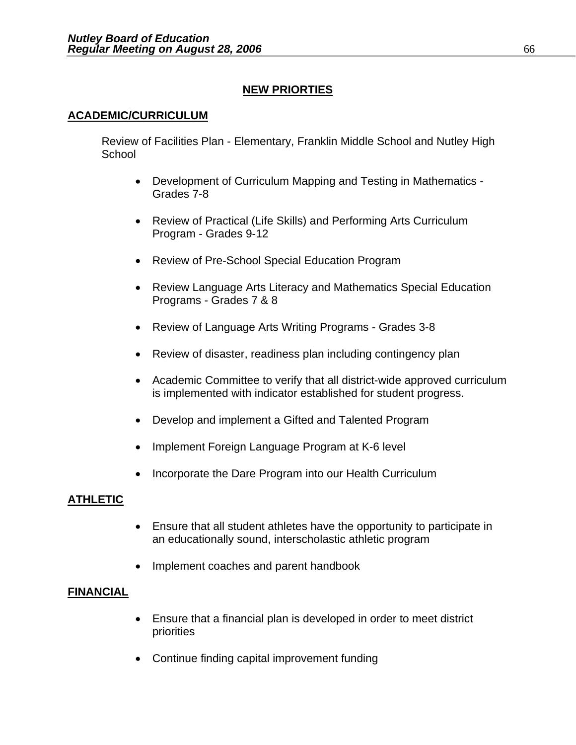### **NEW PRIORTIES**

#### **ACADEMIC/CURRICULUM**

Review of Facilities Plan - Elementary, Franklin Middle School and Nutley High **School** 

- Development of Curriculum Mapping and Testing in Mathematics Grades 7-8
- Review of Practical (Life Skills) and Performing Arts Curriculum Program - Grades 9-12
- Review of Pre-School Special Education Program
- Review Language Arts Literacy and Mathematics Special Education Programs - Grades 7 & 8
- Review of Language Arts Writing Programs Grades 3-8
- Review of disaster, readiness plan including contingency plan
- Academic Committee to verify that all district-wide approved curriculum is implemented with indicator established for student progress.
- Develop and implement a Gifted and Talented Program
- Implement Foreign Language Program at K-6 level
- Incorporate the Dare Program into our Health Curriculum

#### **ATHLETIC**

- Ensure that all student athletes have the opportunity to participate in an educationally sound, interscholastic athletic program
- Implement coaches and parent handbook

#### **FINANCIAL**

- Ensure that a financial plan is developed in order to meet district priorities
- Continue finding capital improvement funding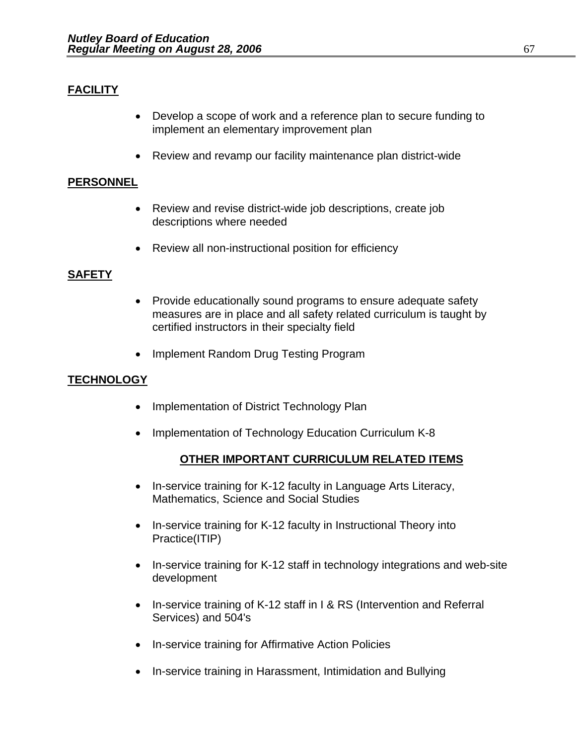### **FACILITY**

- Develop a scope of work and a reference plan to secure funding to implement an elementary improvement plan
- Review and revamp our facility maintenance plan district-wide

#### **PERSONNEL**

- Review and revise district-wide job descriptions, create job descriptions where needed
- Review all non-instructional position for efficiency

#### **SAFETY**

- Provide educationally sound programs to ensure adequate safety measures are in place and all safety related curriculum is taught by certified instructors in their specialty field
- Implement Random Drug Testing Program

### **TECHNOLOGY**

- Implementation of District Technology Plan
- Implementation of Technology Education Curriculum K-8

#### **OTHER IMPORTANT CURRICULUM RELATED ITEMS**

- In-service training for K-12 faculty in Language Arts Literacy, Mathematics, Science and Social Studies
- In-service training for K-12 faculty in Instructional Theory into Practice(ITIP)
- In-service training for K-12 staff in technology integrations and web-site development
- In-service training of K-12 staff in I & RS (Intervention and Referral Services) and 504's
- In-service training for Affirmative Action Policies
- In-service training in Harassment, Intimidation and Bullying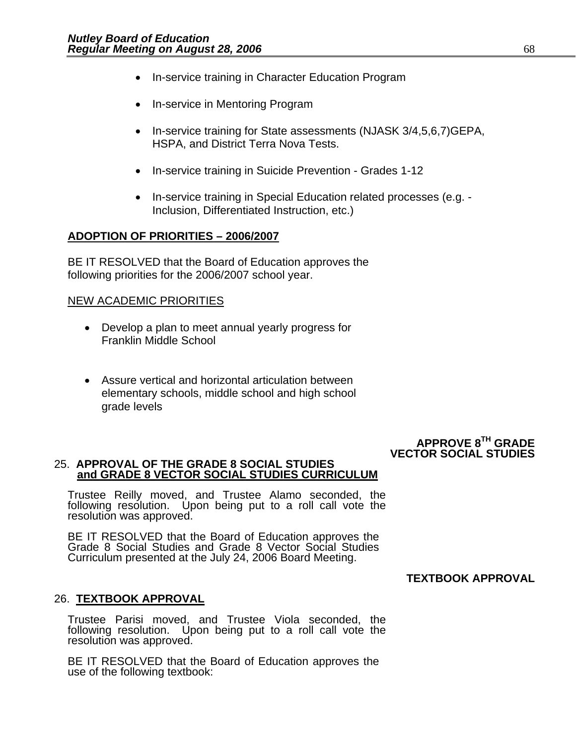- In-service training in Character Education Program
- In-service in Mentoring Program
- In-service training for State assessments (NJASK 3/4,5,6,7)GEPA, HSPA, and District Terra Nova Tests.
- In-service training in Suicide Prevention Grades 1-12
- In-service training in Special Education related processes (e.g. Inclusion, Differentiated Instruction, etc.)

#### **ADOPTION OF PRIORITIES – 2006/2007**

BE IT RESOLVED that the Board of Education approves the following priorities for the 2006/2007 school year.

#### NEW ACADEMIC PRIORITIES

- Develop a plan to meet annual yearly progress for Franklin Middle School
- Assure vertical and horizontal articulation between elementary schools, middle school and high school grade levels

#### **APPROVE 8TH GRADE VECTOR SOCIAL STUDIES**

#### 25. **APPROVAL OF THE GRADE 8 SOCIAL STUDIES and GRADE 8 VECTOR SOCIAL STUDIES CURRICULUM**

Trustee Reilly moved, and Trustee Alamo seconded, the following resolution. Upon being put to a roll call vote the resolution was approved.

BE IT RESOLVED that the Board of Education approves the Grade 8 Social Studies and Grade 8 Vector Social Studies Curriculum presented at the July 24, 2006 Board Meeting.

#### **TEXTBOOK APPROVAL**

#### 26. **TEXTBOOK APPROVAL**

Trustee Parisi moved, and Trustee Viola seconded, the following resolution. Upon being put to a roll call vote the resolution was approved.

BE IT RESOLVED that the Board of Education approves the use of the following textbook: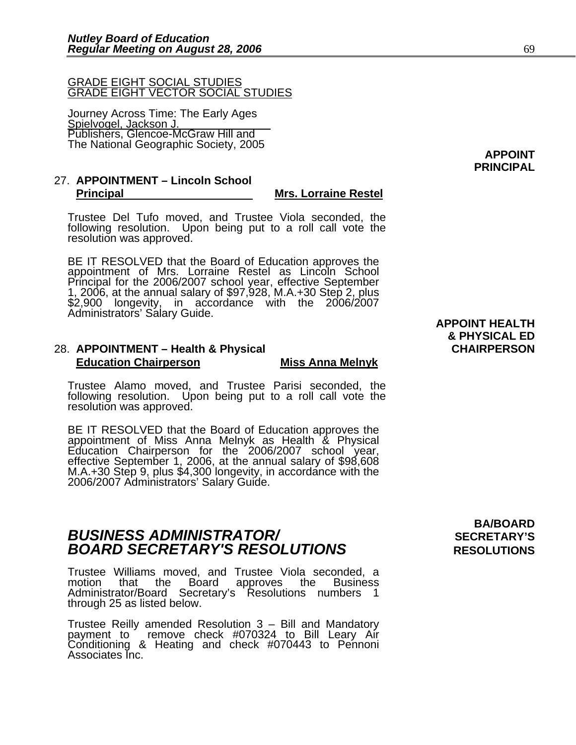#### GRADE EIGHT SOCIAL STUDIES GRADE EIGHT VECTOR SOCIAL STUDIES

Journey Across Time: The Early Ages Spielvogel, Jackson J. Publishers, Glencoe-McGraw Hill and The National Geographic Society, 2005 **APPOINT** 

#### 27. **APPOINTMENT – Lincoln School Principal Mrs. Lorraine Restel**

Trustee Del Tufo moved, and Trustee Viola seconded, the following resolution. Upon being put to a roll call vote the resolution was approved.

BE IT RESOLVED that the Board of Education approves the<br>appointment of Mrs. Lorraine Restel as Lincoln School Principal for the 2006/2007 school year, effective September 1, 2006, at the annual salary of \$97,928, M.A.+30 Step 2, plus<br>\$2,900 longevity, in accordance with the 2006/2007 Administrators' Salary Guide.<br>**APPOINT HEALTH** 

#### 28. **APPOINTMENT – Health & Physical CHAIRPERSON Education Chairperson Miss Anna Melnyk**

Trustee Alamo moved, and Trustee Parisi seconded, the following resolution. Upon being put to a roll call vote the resolution was approved.

BE IT RESOLVED that the Board of Education approves the<br>appointment of Miss Anna Melnyk as Health & Physical<br>Education Chairperson for the 2006/2007 school year, effective September 1, 2006, at the annual salary of \$98,608<br>M.A.+30 Step 9, plus \$4,300 longevity, in accordance with the<br>2006/2007 Administrators' Salary Guide.

### **BUSINESS ADMINISTRATOR/** *BUSINESS ADMINISTRATOR/* **BOARD SECRETARY'S RESOLUTIONS** RESOLUTIONS

Trustee Williams moved, and Trustee Viola seconded, a that the Board approves the Administrator/Board Secretary's Resolutions numbers 1<br>through 25 as listed below.

Trustee Reilly amended Resolution 3 – Bill and Mandatory payment to remove check #070324 to Bill Leary Air Conditioning & Heating and check #070443 to Pennoni Associates Inc.

# **BA/BOARD**

# **& PHYSICAL ED**

**PRINCIPAL**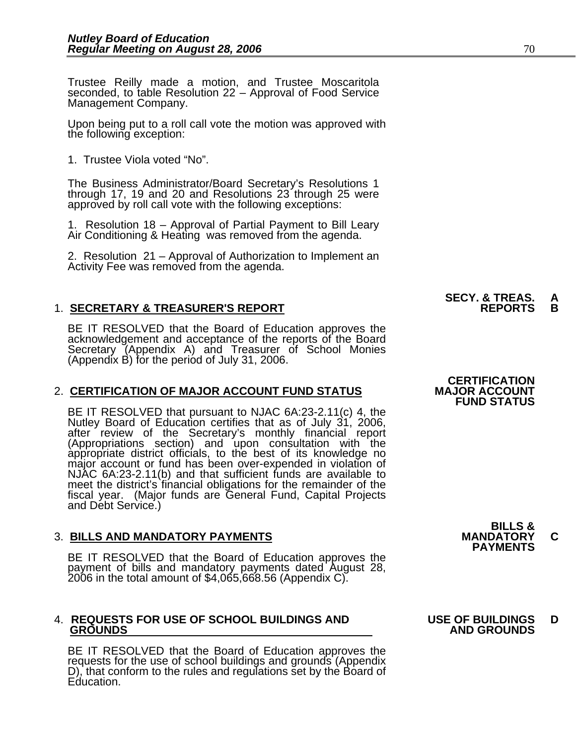Trustee Reilly made a motion, and Trustee Moscaritola seconded, to table Resolution 22 – Approval of Food Service<br>Management Company.

Upon being put to a roll call vote the motion was approved with the following exception:

1. Trustee Viola voted "No".

The Business Administrator/Board Secretary's Resolutions 1 through 17, 19 and 20 and Resolutions 23 through 25 were approved by roll call vote with the following exceptions:

1. Resolution 18 – Approval of Partial Payment to Bill Leary Air Conditioning & Heating was removed from the agenda.

2. Resolution 21 – Approval of Authorization to Implement an Activity Fee was removed from the agenda.

#### **1. SECRETARY & TREASURER'S REPORT**

BE IT RESOLVED that the Board of Education approves the acknowledgement and acceptance of the reports of the Board<br>Secretary (Appendix A) and Treasurer of School Monies (Appendix B) for the period of July 31, 2006.

#### 2. CERTIFICATION OF MAJOR ACCOUNT FUND STATUS

BE IT RESOLVED that pursuant to NJAC 6A:23-2.11(c) 4, the Nutley Board of Education certifies that as of July 31, 2006, after review of the Secretary's monthly financial report (Appropriations section) and upon consultation with the appropriate district officials, to the best of its knowledge no major account or fund has been over-expended in violation of NJAC 6A:23-2.11(b) and that sufficient fu meet the district's financial obligations for the remainder of the fiscal year. (Major funds are General Fund, Capital Projects and Debt Service.)

### 3. **BILLS AND MANDATORY PAYMENTS MANDATORY C PAYMENTS**

BE IT RESOLVED that the Board of Education approves the payment of bills and mandatory payments dated August 28, 2006 in the total amount of \$4,065,668.56 (Appendix C).

## 4. **REQUESTS FOR USE OF SCHOOL BUILDINGS AND USE OF BUILDINGS D**

BE IT RESOLVED that the Board of Education approves the requests for the use of school buildings and grounds (Appendix D), that conform to the rules and regulations set by the Board of Education.

### **SECY. & TREAS. A**

### **CERTIFICATION<br>MAJOR ACCOUNT FUND STATUS**

**BILLS &** 

### **GROUNDS AND GROUNDS**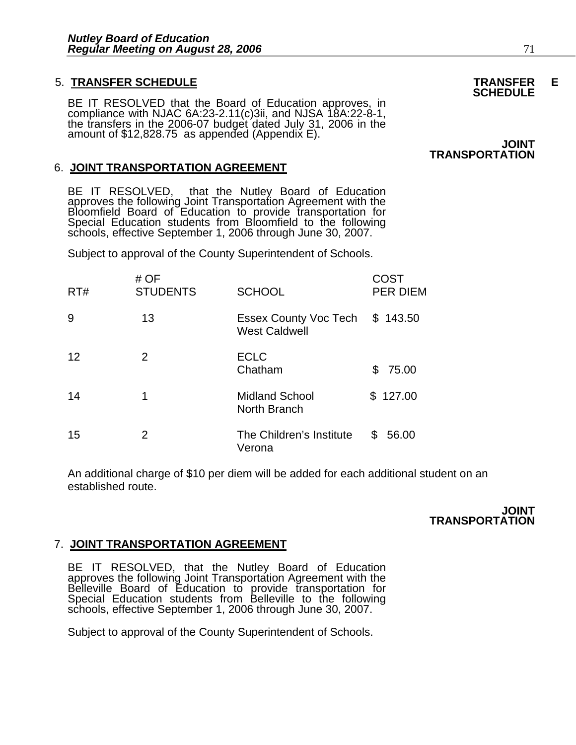### 5. **TRANSFER SCHEDULE TRANSFER E SCHEDULE**

BE IT RESOLVED that the Board of Education approves, in compliance with NJAC 6A:23-2.11(c)3ii, and NJSA 18A:22-8-1, the transfers in the 2006-07 budget dated July 31, 2006 in the amount of \$12,828.75 as appended (Appendix

#### 6. **JOINT TRANSPORTATION AGREEMENT**

BE IT RESOLVED, that the Nutley Board of Education<br>approves the following Joint Transportation Agreement with the<br>Bloomfield Board of Education to provide transportation for<br>Special Education students from Bloomfield to th

Subject to approval of the County Superintendent of Schools.

| RT# | # OF<br><b>STUDENTS</b> | <b>SCHOOL</b>                                 | COST<br><b>PER DIEM</b> |
|-----|-------------------------|-----------------------------------------------|-------------------------|
| 9   | 13                      | Essex County Voc Tech<br><b>West Caldwell</b> | \$143.50                |
| 12  | 2                       | <b>ECLC</b><br>Chatham                        | S<br>75.00              |
| 14  | 1                       | <b>Midland School</b><br>North Branch         | \$127.00                |
| 15  | 2                       | The Children's Institute<br>Verona            | 56.00<br>S              |

An additional charge of \$10 per diem will be added for each additional student on an established route.

> **JOINT TRANSPORTATION**

#### 7. **JOINT TRANSPORTATION AGREEMENT**

BE IT RESOLVED, that the Nutley Board of Education<br>approves the following Joint Transportation Agreement with the<br>Belleville Board of Education to provide transportation for<br>Special Education students from Belleville to th

Subject to approval of the County Superintendent of Schools.

**JOINT TRANSPORTATION**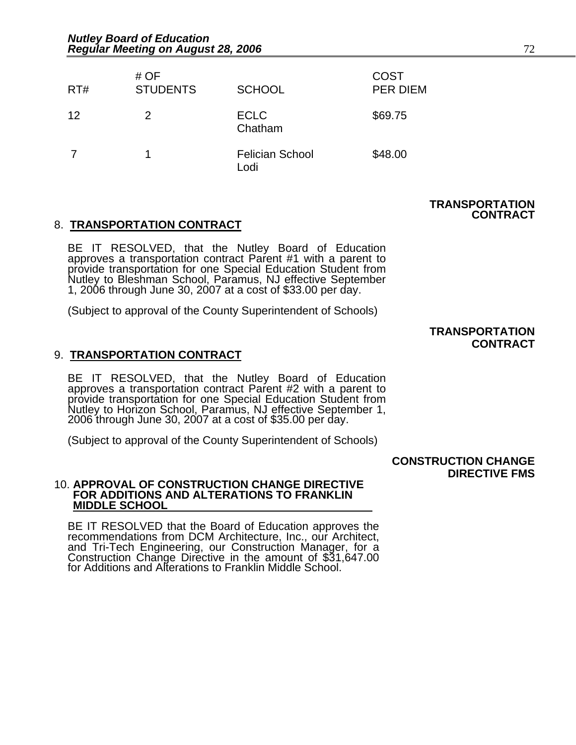| RT# | # OF<br><b>STUDENTS</b> | <b>SCHOOL</b>                  | <b>COST</b><br><b>PER DIEM</b> |
|-----|-------------------------|--------------------------------|--------------------------------|
| 12  | 2                       | <b>ECLC</b><br>Chatham         | \$69.75                        |
|     |                         | <b>Felician School</b><br>Lodi | \$48.00                        |

#### **TRANSPORTATION CONTRACT**

#### 8. **TRANSPORTATION CONTRACT**

BE IT RESOLVED, that the Nutley Board of Education<br>approves a transportation contract Parent #1 with a parent to<br>provide transportation for one Special Education Student from<br>Nutley to Bleshman School, Paramus, NJ effectiv 1, 2006 through June 30, 2007 at a cost of \$33.00 per day.

(Subject to approval of the County Superintendent of Schools)

#### **TRANSPORTATION CONTRACT**

#### 9. **TRANSPORTATION CONTRACT**

BE IT RESOLVED, that the Nutley Board of Education<br>approves a transportation contract Parent #2 with a parent to<br>provide transportation for one Special Education Student from<br>Nutley to Horizon School, Paramus, NJ effective 2006 through June 30, 2007 at a cost of \$35.00 per day.

(Subject to approval of the County Superintendent of Schools)

#### **CONSTRUCTION CHANGE DIRECTIVE FMS**

#### 10. **APPROVAL OF CONSTRUCTION CHANGE DIRECTIVE FOR ADDITIONS AND ALTERATIONS TO FRANKLIN MIDDLE SCHOOL**

BE IT RESOLVED that the Board of Education approves the recommendations from DCM Architecture, Inc., our Architect, and Tri-Tech Engineering, our Construction Manager, for a Construction Change Directive in the amount of \$31,647.00 for Additions and Alterations to Franklin Middle School.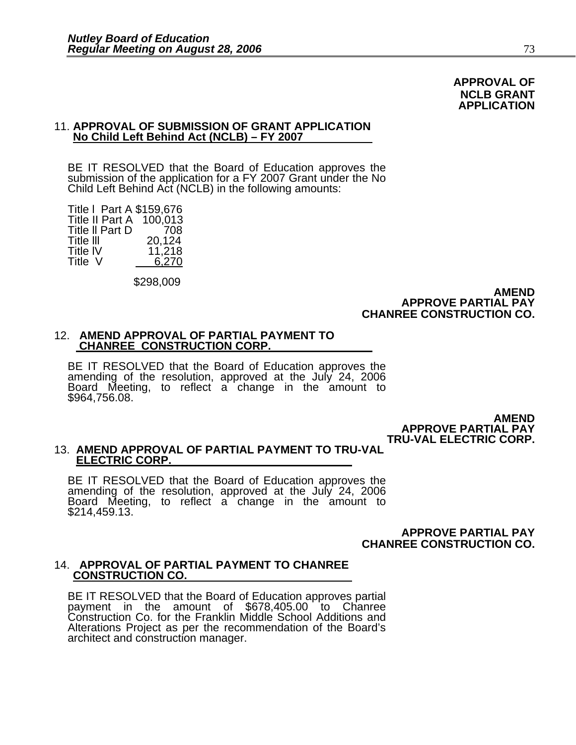#### **APPROVAL OF NCLB GRANT APPLICATION**

#### 11. **APPROVAL OF SUBMISSION OF GRANT APPLICATION No Child Left Behind Act (NCLB) – FY 2007**

BE IT RESOLVED that the Board of Education approves the submission of the application for a FY 2007 Grant under the No Child Left Behind Act (NCLB) in the following amounts: 

Title l Part A \$159,676 Title II Part A 100,013<br>Title II Part D 708 Title II Part D Title III 20,124<br>Title IV 11.218 Title IV 11,218<br>Title V 6.270  $6,270$ 

\$298,009

#### **AMEND APPROVE PARTIAL PAY CHANREE CONSTRUCTION CO.**

#### 12. **AMEND APPROVAL OF PARTIAL PAYMENT TO CHANREE CONSTRUCTION CORP.**

BE IT RESOLVED that the Board of Education approves the amending of the resolution, approved at the July 24, 2006 Board Meeting, to reflect a change in the amount to<br>\$964,756.08.

> **AMEND APPROVE PARTIAL PAY TRU-VAL ELECTRIC CORP.**

## 13. **AMEND APPROVAL OF PARTIAL PAYMENT TO TRU-VAL ELECTRIC CORP.**

BE IT RESOLVED that the Board of Education approves the amending of the resolution, approved at the July 24, 2006 Board Meeting, to reflect a change in the amount to \$214,459.13.

**APPROVE PARTIAL PAY CHANREE CONSTRUCTION CO.** 

### 14. **APPROVAL OF PARTIAL PAYMENT TO CHANREE CONSTRUCTION CO.**

BE IT RESOLVED that the Board of Education approves partial payment in the amount of \$678,405.00 to Chanree Construction Co. for the Franklin Middle School Additions and Alterations Project as per the recommendation of the Board's architect and construction manager.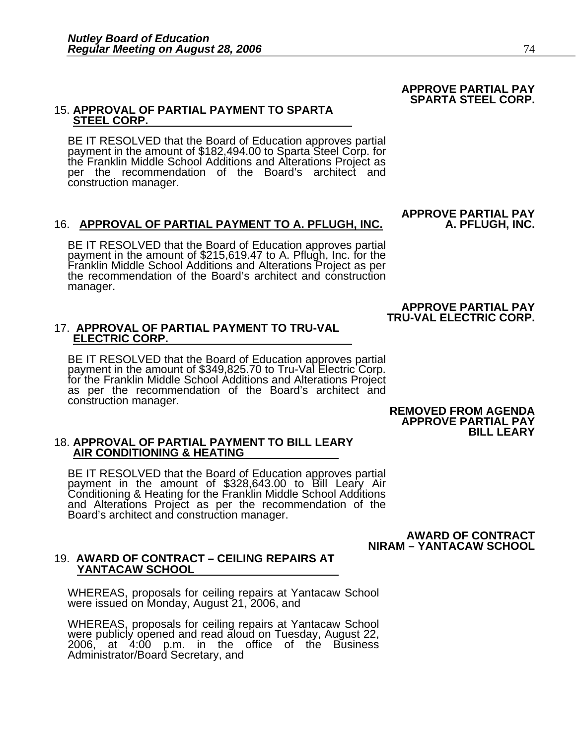# 15. **APPROVAL OF PARTIAL PAYMENT TO SPARTA STEEL CORP.**

BE IT RESOLVED that the Board of Education approves partial payment in the amount of \$182,494.00 to Sparta Steel Corp. for the Franklin Middle School Additions and Alterations Project as per the recommendation of the Board's architect and construction manager.

#### 16. **APPROVAL OF PARTIAL PAYMENT TO A. PFLUGH, INC. A. PFLUGH, INC.**

BE IT RESOLVED that the Board of Education approves partial payment in the amount of \$215,619.47 to A. Pflugh, Inc. for the Franklin Middle School Additions and Alterations Project as per the recommendation of the Board's architect and construction manager.

# 17. **APPROVAL OF PARTIAL PAYMENT TO TRU-VAL ELECTRIC CORP.**

BE IT RESOLVED that the Board of Education approves partial payment in the amount of \$349,825.70 to Tru-Val Electric Corp.<br>for the Franklin Middle School Additions and Alterations Project<br>as per the recommendation of the Board's architect and construction manager. **REMOVED FROM AGENDA** 

 **APPROVE PARTIAL PAY BILL LEARY** 

# 18. **APPROVAL OF PARTIAL PAYMENT TO BILL LEARY AIR CONDITIONING & HEATING**

BE IT RESOLVED that the Board of Education approves partial payment in the amount of \$328,643.00 to Bill Leary Air<br>Conditioning & Heating for the Franklin Middle School Additions<br>and Alterations Project as per the recommendation of the and Alterations Project as per the recommendation of the Board's architect and construction manager.

> **AWARD OF CONTRACT NIRAM – YANTACAW SCHOOL**

#### 19. **AWARD OF CONTRACT – CEILING REPAIRS AT YANTACAW SCHOOL**

WHEREAS, proposals for ceiling repairs at Yantacaw School were issued on Monday, August 21, 2006, and

WHEREAS, proposals for ceiling repairs at Yantacaw School were publicly opened and read aloud on Tuesday, August 22, 2006, at 4:00 p.m. in the office of the Business Administrator/Board Secretary, and

**APPROVE PARTIAL PAY** 

 **APPROVE PARTIAL PAY TRU-VAL ELECTRIC CORP.** 

#### **APPROVE PARTIAL PAY SPARTA STEEL CORP.**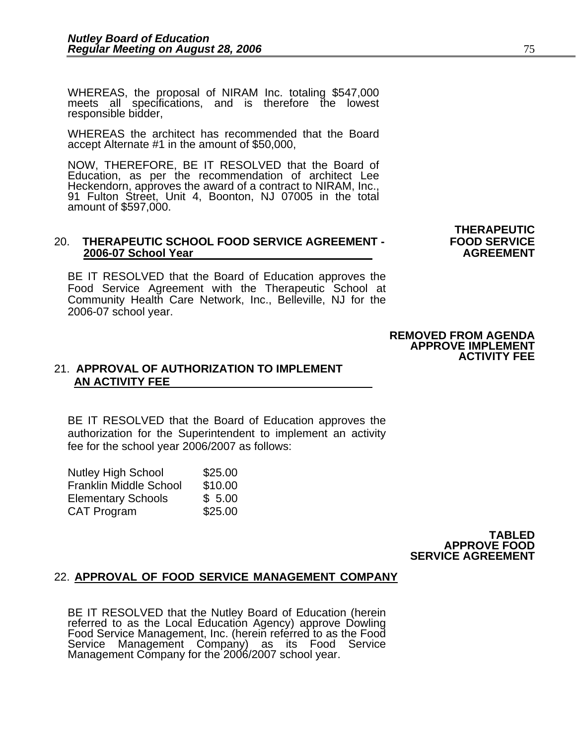WHEREAS, the proposal of NIRAM Inc. totaling \$547,000 meets all specifications, and is therefore the lowest responsible bidder,

WHEREAS the architect has recommended that the Board accept Alternate #1 in the amount of \$50,000,

NOW, THEREFORE, BE IT RESOLVED that the Board of Education, as per the recommendation of architect Lee Heckendorn, approves the award of a contract to NIRAM, Inc., 91 Fulton Street, Unit 4, Boonton, NJ 07005 in the total amount of \$597,000.

#### **THERAPEUTIC**  20. **THERAPEUTIC SCHOOL FOOD SERVICE AGREEMENT - FOOD SERVICE 2006-07 School Year AGREEMENT AGREEMENT**

BE IT RESOLVED that the Board of Education approves the Food Service Agreement with the Therapeutic School at Community Health Care Network, Inc., Belleville, NJ for the 2006-07 school year.

### 21. **APPROVAL OF AUTHORIZATION TO IMPLEMENT AN ACTIVITY FEE**

BE IT RESOLVED that the Board of Education approves the authorization for the Superintendent to implement an activity fee for the school year 2006/2007 as follows:

| <b>Nutley High School</b>     | \$25.00 |
|-------------------------------|---------|
| <b>Franklin Middle School</b> | \$10.00 |
| <b>Elementary Schools</b>     | \$5.00  |
| <b>CAT Program</b>            | \$25.00 |

#### **TABLED APPROVE FOOD SERVICE AGREEMENT**

#### 22. **APPROVAL OF FOOD SERVICE MANAGEMENT COMPANY**

BE IT RESOLVED that the Nutley Board of Education (herein referred to as the Local Education Agency) approve Dowling Food Service Management, Inc. (herein referred to as the Food Service Management Company) as its Food Service Management Company for the 2006/2007 school year.

#### **REMOVED FROM AGENDA APPROVE IMPLEMENT ACTIVITY FEE**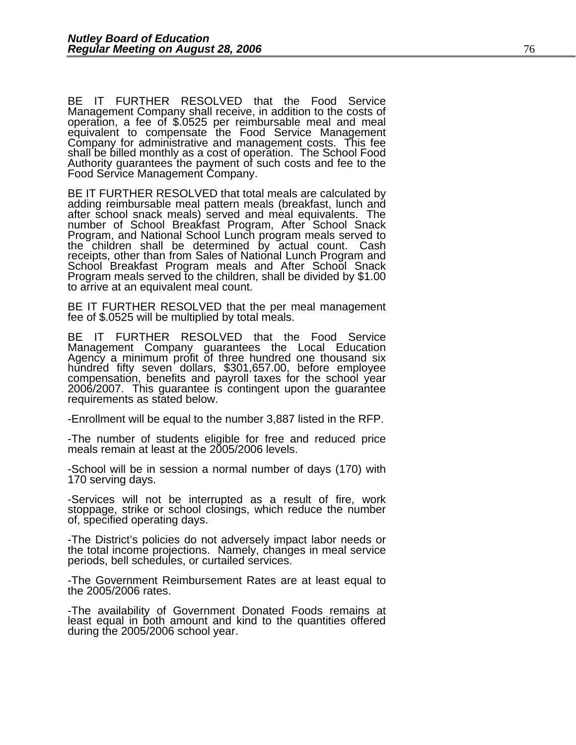BE IT FURTHER RESOLVED that the Food Service Management Company shall receive, in addition to the costs of operation, a fee of \$.0525 per reimbursable meal and meal equivalent to compensate the Food Service Management Company for administrative and management costs. This fee shall be billed monthly as a cost of operation. The School Food Authority guarantees the payment of such costs and fee to the Food Service Management Company.

BE IT FURTHER RESOLVED that total meals are calculated by adding reimbursable meal pattern meals (breakfast, lunch and<br>after school snack meals) served and meal equivalents. The<br>number of School Breakfast Program, After School Snack<br>Program, and National School Lunch program meal Program meals served to the children, shall be divided by \$1.00 to arrive at an equivalent meal count.

BE IT FURTHER RESOLVED that the per meal management fee of \$.0525 will be multiplied by total meals.

BE IT FURTHER RESOLVED that the Food Service Management Company guarantees the Local Education Agency a minimum profit of three hundred one thousand six hundred fifty seven dollars, \$301,657.00, before employee<br>compensation, benefits and payroll taxes for the school year<br>2006/2007. This guarantee is contingent upon the guarantee<br>requirements as stated below.

-Enrollment will be equal to the number 3,887 listed in the RFP.

-The number of students eligible for free and reduced price meals remain at least at the 2005/2006 levels.

-School will be in session a normal number of days (170) with 170 serving days.

-Services will not be interrupted as a result of fire, work stoppage, strike or school closings, which reduce the number of, specified operating days.

-The District's policies do not adversely impact labor needs or the total income projections. Namely, changes in meal service periods, bell schedules, or curtailed services.

-The Government Reimbursement Rates are at least equal to the 2005/2006 rates.

-The availability of Government Donated Foods remains at least equal in both amount and kind to the quantities offered during the 2005/2006 school year.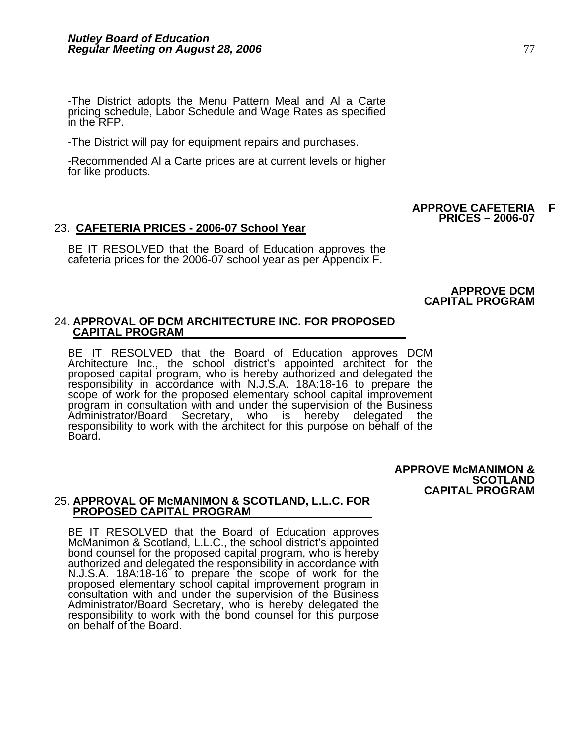-The District adopts the Menu Pattern Meal and Al a Carte pricing schedule, Labor Schedule and Wage Rates as specified in the RFP.

-The District will pay for equipment repairs and purchases.

-Recommended Al a Carte prices are at current levels or higher for like products.

#### **APPROVE CAFETERIA F PRICES – 2006-07**

#### 23. **CAFETERIA PRICES - 2006-07 School Year**

BE IT RESOLVED that the Board of Education approves the cafeteria prices for the 2006-07 school year as per Appendix F.

**APPROVE DCM CAPITAL PROGRAM** 

# 24. **APPROVAL OF DCM ARCHITECTURE INC. FOR PROPOSED CAPITAL PROGRAM**

BE IT RESOLVED that the Board of Education approves DCM<br>Architecture Inc., the school district's appointed architect for the proposed capital program, who is hereby authorized and delegated the<br>responsibility in accordance with N.J.S.A. 18A:18-16 to prepare the<br>scope of work for the proposed elementary school capital improvement<br>program in consu

> **APPROVE McMANIMON & SCOTLAND CAPITAL PROGRAM**

#### 25. **APPROVAL OF McMANIMON & SCOTLAND, L.L.C. FOR PROPOSED CAPITAL PROGRAM**

BE IT RESOLVED that the Board of Education approves McManimon & Scotland, L.L.C., the school district's appointed bond counsel for the proposed capital program, who is hereby authorized and delegated the responsibility in authorized and delegated the responsibility in accordance with<br>N.J.S.A. 18A:18-16 to prepare the scope of work for the<br>proposed elementary school capital improvement program in<br>consultation with and under the supervision o responsibility to work with the bond counsel for this purpose<br>on behalf of the Board.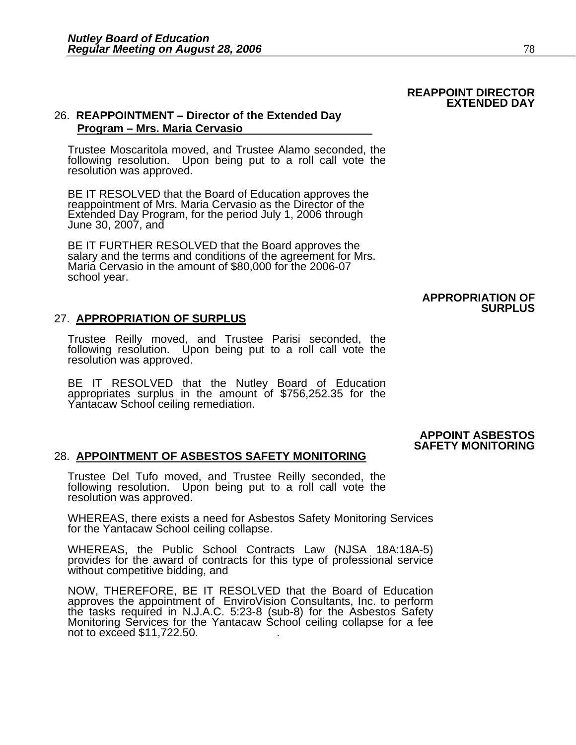#### **REAPPOINT DIRECTOR EXTENDED DAY**

#### 26. **REAPPOINTMENT – Director of the Extended Day Program – Mrs. Maria Cervasio**

Trustee Moscaritola moved, and Trustee Alamo seconded, the following resolution. Upon being put to a roll call vote the resolution was approved.

BE IT RESOLVED that the Board of Education approves the reappointment of Mrs. Maria Cervasio as the Director of the Extended Day Program, for the period July 1, 2006 through June 30, 2007, and

BE IT FURTHER RESOLVED that the Board approves the salary and the terms and conditions of the agreement for Mrs. Maria Cervasio in the amount of \$80,000 for the 2006-07 school year.

#### **APPROPRIATION OF SURPLUS**

#### 27. **APPROPRIATION OF SURPLUS**

Trustee Reilly moved, and Trustee Parisi seconded, the following resolution. Upon being put to a roll call vote the resolution was approved.

BE IT RESOLVED that the Nutley Board of Education appropriates surplus in the amount of \$756,252.35 for the Yantacaw School ceiling remediation.

### **APPOINT ASBESTOS**

### **SAFETY MONITORING**<br>28. APPOINTMENT OF ASBESTOS SAFETY MONITORING

Trustee Del Tufo moved, and Trustee Reilly seconded, the following resolution. Upon being put to a roll call vote the resolution was approved.

WHEREAS, there exists a need for Asbestos Safety Monitoring Services for the Yantacaw School ceiling collapse.

WHEREAS, the Public School Contracts Law (NJSA 18A:18A-5) provides for the award of contracts for this type of professional service without competitive bidding, and

NOW, THEREFORE, BE IT RESOLVED that the Board of Education approves the appointment of EnviroVision Consultants, Inc. to perform the tasks required in N.J.A.C. 5:23-8 (sub-8) for the Asbestos Safety<br>Monitoring Services for the Yantacaw School ceiling collapse for a fee<br>not to exceed \$11,722.50.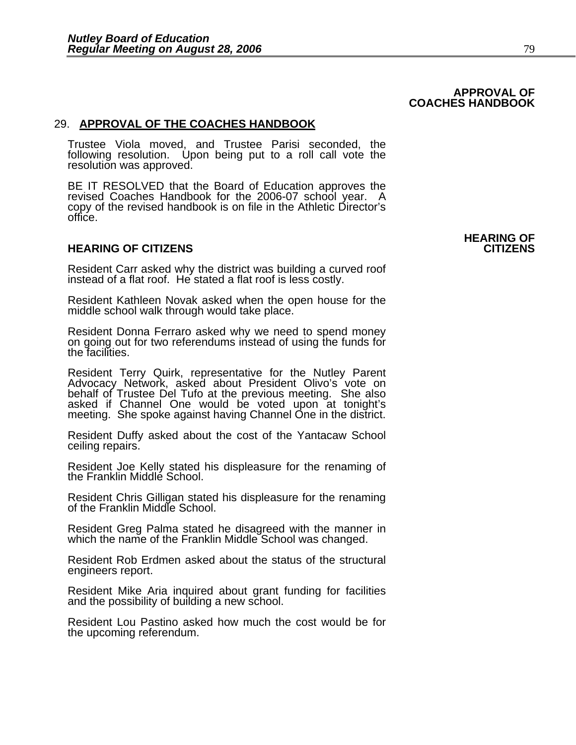#### **APPROVAL OF COACHES HANDBOOK**

#### 29. **APPROVAL OF THE COACHES HANDBOOK**

Trustee Viola moved, and Trustee Parisi seconded, the following resolution. Upon being put to a roll call vote the resolution was approved.

BE IT RESOLVED that the Board of Education approves the revised Coaches Handbook for the 2006-07 school year. A copy of the revised handbook is on file in the Athletic Director's office.

#### **HEARING OF CITIZENS CITIZENS**

Resident Carr asked why the district was building a curved roof instead of a flat roof. He stated a flat roof is less costly.

Resident Kathleen Novak asked when the open house for the middle school walk through would take place.

Resident Donna Ferraro asked why we need to spend money on going out for two referendums instead of using the funds for the facilities.

Resident Terry Quirk, representative for the Nutley Parent Advocacy Network, asked about President Olivo's vote on behalf of Trustee Del Tufo at the previous meeting. She also<br>asked if Channel One would be voted upon at tonight's<br>meeting. She spoke against having Channel One in the district.

Resident Duffy asked about the cost of the Yantacaw School ceiling repairs.

Resident Joe Kelly stated his displeasure for the renaming of the Franklin Middle School.

Resident Chris Gilligan stated his displeasure for the renaming of the Franklin Middle School.

Resident Greg Palma stated he disagreed with the manner in which the name of the Franklin Middle School was changed.

Resident Rob Erdmen asked about the status of the structural engineers report.

Resident Mike Aria inquired about grant funding for facilities and the possibility of building a new school.

Resident Lou Pastino asked how much the cost would be for the upcoming referendum.

**HEARING OF**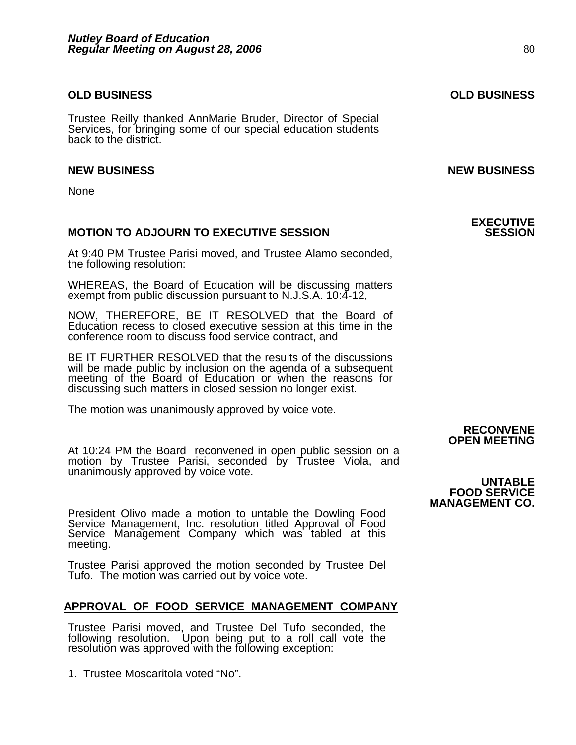#### **OLD BUSINESS OLD BUSINESS**

Trustee Reilly thanked AnnMarie Bruder, Director of Special Services, for bringing some of our special education students back to the district.

#### **NEW BUSINESS NEW BUSINESS**

None

#### **MOTION TO ADJOURN TO EXECUTIVE SESSION**

At 9:40 PM Trustee Parisi moved, and Trustee Alamo seconded, the following resolution:

WHEREAS, the Board of Education will be discussing matters exempt from public discussion pursuant to N.J.S.A. 10:4-12,

NOW, THEREFORE, BE IT RESOLVED that the Board of Education recess to closed executive session at this time in the conference room to discuss food service contract, and

BE IT FURTHER RESOLVED that the results of the discussions will be made public by inclusion on the agenda of a subsequent meeting of the Board of Education or when the reasons for discussing such matters in closed session no longer exist.

The motion was unanimously approved by voice vote.

At 10:24 PM the Board reconvened in open public session on a motion by Trustee Parisi, seconded by Trustee Viola, and unanimously approved by voice vote. **UNTABLE** 

**MANAGEMENT CO.**<br>President Olivo made a motion to untable the Dowling Food **MANAGEMENT CO.** Service Management, Inc. resolution titled Approval of Food Service Management, Inc. resolution titled Approval of Food meeting.

Trustee Parisi approved the motion seconded by Trustee Del Tufo. The motion was carried out by voice vote.

#### **APPROVAL OF FOOD SERVICE MANAGEMENT COMPANY**

 Trustee Parisi moved, and Trustee Del Tufo seconded, the following resolution. Upon being put to a roll call vote the resolution was approved with the following exception:

1. Trustee Moscaritola voted "No".

# **RECONVENE OPEN MEETING**

# **FOOD SERVICE**

**EXECUTIVE**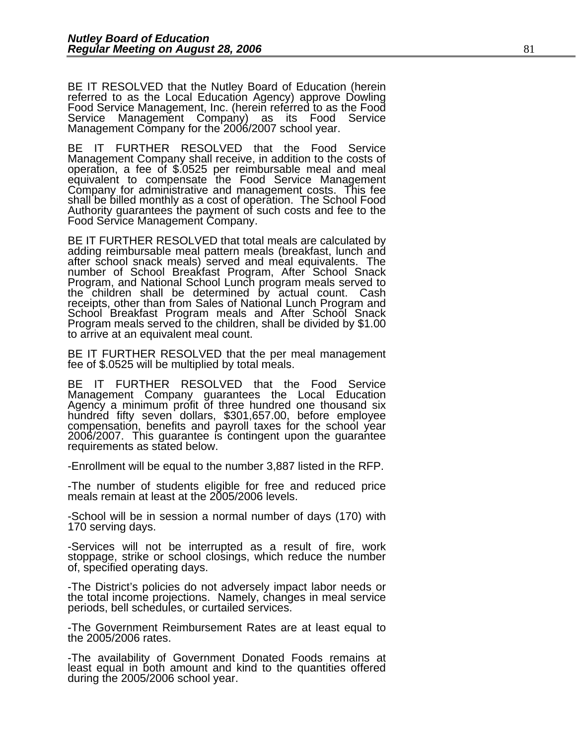BE IT RESOLVED that the Nutley Board of Education (herein referred to as the Local Education Agency) approve Dowling Food Service Management, Inc. (herein referred to as the Food Service Management Company) as its Food Service Management Company for the 2006/2007 school year.

BE IT FURTHER RESOLVED that the Food Service Management Company shall receive, in addition to the costs of operation, a fee of \$.0525 per reimbursable meal and meal equivalent to compensate the Food Service Management<br>Company for administrative and management costs. This fee shall be billed monthly as a cost of operation. The School Food Authority guarantees the payment of such costs and fee to the Food Service Management Company.

BE IT FURTHER RESOLVED that total meals are calculated by adding reimbursable meal pattern meals (breakfast, lunch and<br>after school snack meals) served and meal equivalents. The<br>number of School Breakfast Program, After School Snack<br>Program, and National School Lunch program meal Program meals served to the children, shall be divided by \$1.00 to arrive at an equivalent meal count.

BE IT FURTHER RESOLVED that the per meal management fee of \$.0525 will be multiplied by total meals.

BE IT FURTHER RESOLVED that the Food Service Management Company guarantees the Local Education Agency a minimum profit of three hundred one thousand six hundred fifty seven dollars, \$301,657.00, before employee compensation, benefits and payroll taxes for the school year 2006/2007. This guarantee is contingent upon the guarantee requirements as stated below.

-Enrollment will be equal to the number 3,887 listed in the RFP.

-The number of students eligible for free and reduced price meals remain at least at the 2005/2006 levels.

-School will be in session a normal number of days (170) with 170 serving days.

-Services will not be interrupted as a result of fire, work stoppage, strike or school closings, which reduce the number of, specified operating days.

-The District's policies do not adversely impact labor needs or the total income projections. Namely, changes in meal service periods, bell schedules, or curtailed services.

-The Government Reimbursement Rates are at least equal to the 2005/2006 rates.

-The availability of Government Donated Foods remains at least equal in both amount and kind to the quantities offered during the 2005/2006 school year.